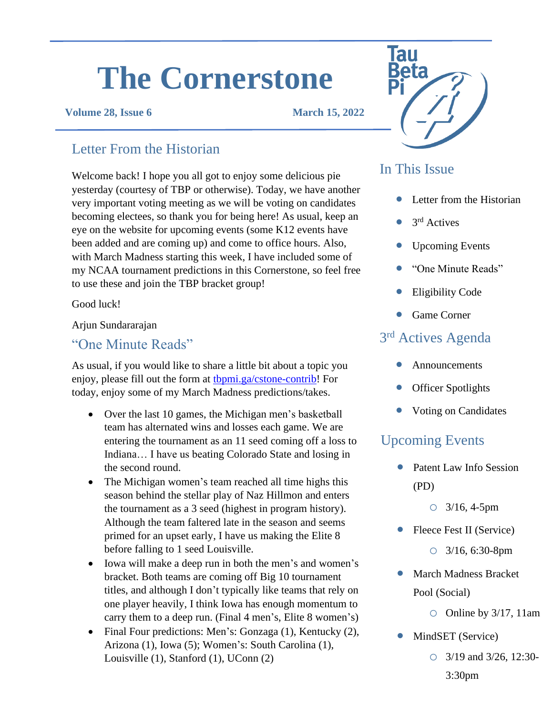# **The Cornerstone**

#### **Volume 28, Issue 6 March 15, 2022**

## Letter From the Historian

Welcome back! I hope you all got to enjoy some delicious pie yesterday (courtesy of TBP or otherwise). Today, we have another very important voting meeting as we will be voting on candidates becoming electees, so thank you for being here! As usual, keep an eye on the website for upcoming events (some K12 events have been added and are coming up) and come to office hours. Also, with March Madness starting this week, I have included some of my NCAA tournament predictions in this Cornerstone, so feel free to use these and join the TBP bracket group!

Good luck!

Arjun Sundararajan

#### "One Minute Reads"

As usual, if you would like to share a little bit about a topic you enjoy, please fill out the form at the pining a/cstone-contrib! For today, enjoy some of my March Madness predictions/takes.

- Over the last 10 games, the Michigan men's basketball team has alternated wins and losses each game. We are entering the tournament as an 11 seed coming off a loss to Indiana… I have us beating Colorado State and losing in the second round.
- The Michigan women's team reached all time highs this season behind the stellar play of Naz Hillmon and enters the tournament as a 3 seed (highest in program history). Although the team faltered late in the season and seems primed for an upset early, I have us making the Elite 8 before falling to 1 seed Louisville.
- Iowa will make a deep run in both the men's and women's bracket. Both teams are coming off Big 10 tournament titles, and although I don't typically like teams that rely on one player heavily, I think Iowa has enough momentum to carry them to a deep run. (Final 4 men's, Elite 8 women's)
- Final Four predictions: Men's: Gonzaga (1), Kentucky (2), Arizona (1), Iowa (5); Women's: South Carolina (1), Louisville (1), Stanford (1), UConn (2)



# In This Issue

- Letter from the Historian
- $\bullet$  3<sup>rd</sup> Actives
- Upcoming Events
- "One Minute Reads"
- Eligibility Code
- Game Corner

#### 3<sup>rd</sup> Actives Agenda

- Announcements
- **Officer Spotlights**
- Voting on Candidates

#### Upcoming Events

- Patent Law Info Session (PD)
	- $\circ$  3/16, 4-5pm
- Fleece Fest II (Service)
	- o 3/16, 6:30-8pm
- March Madness Bracket Pool (Social)
	- $\circ$  Online by 3/17, 11am
- MindSET (Service)
	- o 3/19 and 3/26, 12:30- 3:30pm